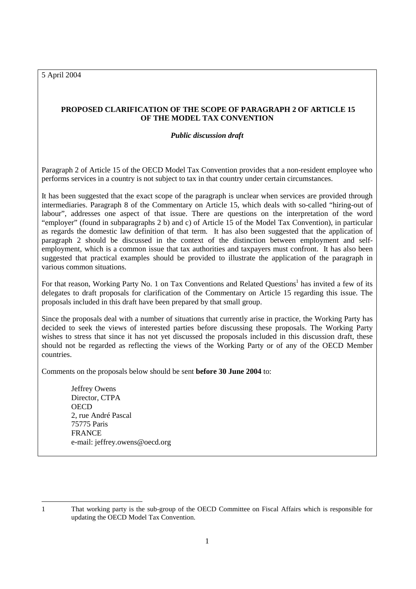5 April 2004

# **PROPOSED CLARIFICATION OF THE SCOPE OF PARAGRAPH 2 OF ARTICLE 15 OF THE MODEL TAX CONVENTION**

## *Public discussion draft*

Paragraph 2 of Article 15 of the OECD Model Tax Convention provides that a non-resident employee who performs services in a country is not subject to tax in that country under certain circumstances.

It has been suggested that the exact scope of the paragraph is unclear when services are provided through intermediaries. Paragraph 8 of the Commentary on Article 15, which deals with so-called "hiring-out of labour", addresses one aspect of that issue. There are questions on the interpretation of the word "employer" (found in subparagraphs 2 b) and c) of Article 15 of the Model Tax Convention), in particular as regards the domestic law definition of that term. It has also been suggested that the application of paragraph 2 should be discussed in the context of the distinction between employment and selfemployment, which is a common issue that tax authorities and taxpayers must confront. It has also been suggested that practical examples should be provided to illustrate the application of the paragraph in various common situations.

For that reason, Working Party No. 1 on Tax Conventions and Related Questions<sup>1</sup> has invited a few of its delegates to draft proposals for clarification of the Commentary on Article 15 regarding this issue. The proposals included in this draft have been prepared by that small group.

Since the proposals deal with a number of situations that currently arise in practice, the Working Party has decided to seek the views of interested parties before discussing these proposals. The Working Party wishes to stress that since it has not yet discussed the proposals included in this discussion draft, these should not be regarded as reflecting the views of the Working Party or of any of the OECD Member countries.

Comments on the proposals below should be sent **before 30 June 2004** to:

 Jeffrey Owens Director, CTPA **OECD**  2, rue André Pascal 75775 Paris FRANCE e-mail: jeffrey.owens@oecd.org

<sup>1</sup> That working party is the sub-group of the OECD Committee on Fiscal Affairs which is responsible for updating the OECD Model Tax Convention.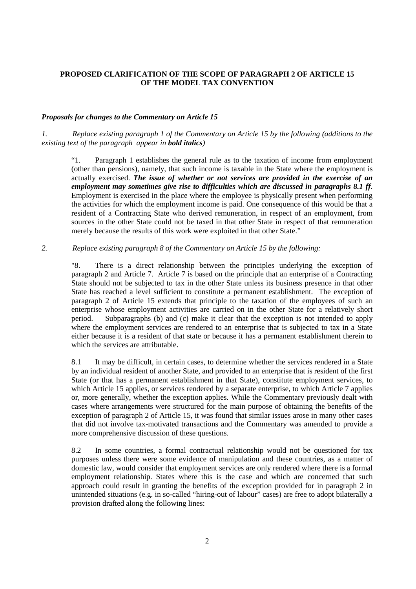## **PROPOSED CLARIFICATION OF THE SCOPE OF PARAGRAPH 2 OF ARTICLE 15 OF THE MODEL TAX CONVENTION**

### *Proposals for changes to the Commentary on Article 15*

*1. Replace existing paragraph 1 of the Commentary on Article 15 by the following (additions to the existing text of the paragraph appear in bold italics)* 

"1. Paragraph 1 establishes the general rule as to the taxation of income from employment (other than pensions), namely, that such income is taxable in the State where the employment is actually exercised. *The issue of whether or not services are provided in the exercise of an employment may sometimes give rise to difficulties which are discussed in paragraphs 8.1 ff*. Employment is exercised in the place where the employee is physically present when performing the activities for which the employment income is paid. One consequence of this would be that a resident of a Contracting State who derived remuneration, in respect of an employment, from sources in the other State could not be taxed in that other State in respect of that remuneration merely because the results of this work were exploited in that other State."

#### *2. Replace existing paragraph 8 of the Commentary on Article 15 by the following:*

"8. There is a direct relationship between the principles underlying the exception of paragraph 2 and Article 7. Article 7 is based on the principle that an enterprise of a Contracting State should not be subjected to tax in the other State unless its business presence in that other State has reached a level sufficient to constitute a permanent establishment. The exception of paragraph 2 of Article 15 extends that principle to the taxation of the employees of such an enterprise whose employment activities are carried on in the other State for a relatively short period. Subparagraphs (b) and (c) make it clear that the exception is not intended to apply where the employment services are rendered to an enterprise that is subjected to tax in a State either because it is a resident of that state or because it has a permanent establishment therein to which the services are attributable.

8.1 It may be difficult, in certain cases, to determine whether the services rendered in a State by an individual resident of another State, and provided to an enterprise that is resident of the first State (or that has a permanent establishment in that State), constitute employment services, to which Article 15 applies, or services rendered by a separate enterprise, to which Article 7 applies or, more generally, whether the exception applies. While the Commentary previously dealt with cases where arrangements were structured for the main purpose of obtaining the benefits of the exception of paragraph 2 of Article 15, it was found that similar issues arose in many other cases that did not involve tax-motivated transactions and the Commentary was amended to provide a more comprehensive discussion of these questions.

8.2 In some countries, a formal contractual relationship would not be questioned for tax purposes unless there were some evidence of manipulation and these countries, as a matter of domestic law, would consider that employment services are only rendered where there is a formal employment relationship. States where this is the case and which are concerned that such approach could result in granting the benefits of the exception provided for in paragraph 2 in unintended situations (e.g. in so-called "hiring-out of labour" cases) are free to adopt bilaterally a provision drafted along the following lines: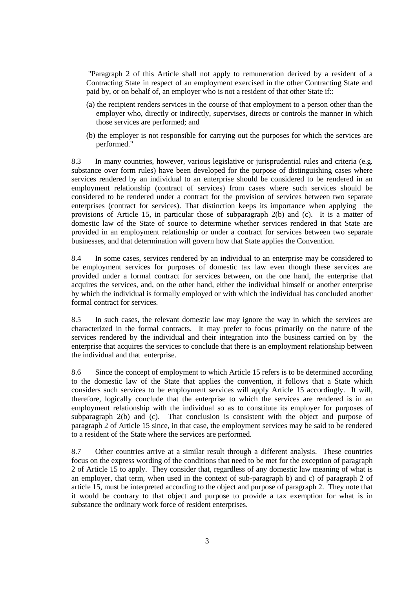"Paragraph 2 of this Article shall not apply to remuneration derived by a resident of a Contracting State in respect of an employment exercised in the other Contracting State and paid by, or on behalf of, an employer who is not a resident of that other State if::

- (a) the recipient renders services in the course of that employment to a person other than the employer who, directly or indirectly, supervises, directs or controls the manner in which those services are performed; and
- (b) the employer is not responsible for carrying out the purposes for which the services are performed."

8.3 In many countries, however, various legislative or jurisprudential rules and criteria (e.g. substance over form rules) have been developed for the purpose of distinguishing cases where services rendered by an individual to an enterprise should be considered to be rendered in an employment relationship (contract of services) from cases where such services should be considered to be rendered under a contract for the provision of services between two separate enterprises (contract for services). That distinction keeps its importance when applying the provisions of Article 15, in particular those of subparagraph 2(b) and (c). It is a matter of domestic law of the State of source to determine whether services rendered in that State are provided in an employment relationship or under a contract for services between two separate businesses, and that determination will govern how that State applies the Convention.

8.4 In some cases, services rendered by an individual to an enterprise may be considered to be employment services for purposes of domestic tax law even though these services are provided under a formal contract for services between, on the one hand, the enterprise that acquires the services, and, on the other hand, either the individual himself or another enterprise by which the individual is formally employed or with which the individual has concluded another formal contract for services.

8.5 In such cases, the relevant domestic law may ignore the way in which the services are characterized in the formal contracts. It may prefer to focus primarily on the nature of the services rendered by the individual and their integration into the business carried on by the enterprise that acquires the services to conclude that there is an employment relationship between the individual and that enterprise.

8.6 Since the concept of employment to which Article 15 refers is to be determined according to the domestic law of the State that applies the convention, it follows that a State which considers such services to be employment services will apply Article 15 accordingly. It will, therefore, logically conclude that the enterprise to which the services are rendered is in an employment relationship with the individual so as to constitute its employer for purposes of subparagraph 2(b) and (c). That conclusion is consistent with the object and purpose of paragraph 2 of Article 15 since, in that case, the employment services may be said to be rendered to a resident of the State where the services are performed.

8.7 Other countries arrive at a similar result through a different analysis. These countries focus on the express wording of the conditions that need to be met for the exception of paragraph 2 of Article 15 to apply. They consider that, regardless of any domestic law meaning of what is an employer, that term, when used in the context of sub-paragraph b) and c) of paragraph 2 of article 15, must be interpreted according to the object and purpose of paragraph 2. They note that it would be contrary to that object and purpose to provide a tax exemption for what is in substance the ordinary work force of resident enterprises.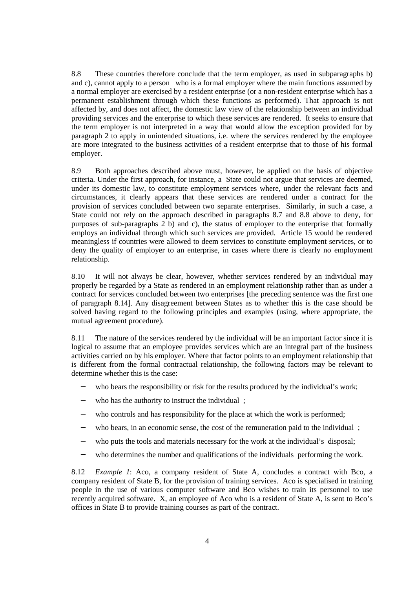8.8 These countries therefore conclude that the term employer, as used in subparagraphs b) and c), cannot apply to a person who is a formal employer where the main functions assumed by a normal employer are exercised by a resident enterprise (or a non-resident enterprise which has a permanent establishment through which these functions as performed). That approach is not affected by, and does not affect, the domestic law view of the relationship between an individual providing services and the enterprise to which these services are rendered. It seeks to ensure that the term employer is not interpreted in a way that would allow the exception provided for by paragraph 2 to apply in unintended situations, i.e. where the services rendered by the employee are more integrated to the business activities of a resident enterprise that to those of his formal employer.

8.9 Both approaches described above must, however, be applied on the basis of objective criteria. Under the first approach, for instance, a State could not argue that services are deemed, under its domestic law, to constitute employment services where, under the relevant facts and circumstances, it clearly appears that these services are rendered under a contract for the provision of services concluded between two separate enterprises. Similarly, in such a case, a State could not rely on the approach described in paragraphs 8.7 and 8.8 above to deny, for purposes of sub-paragraphs 2 b) and c), the status of employer to the enterprise that formally employs an individual through which such services are provided. Article 15 would be rendered meaningless if countries were allowed to deem services to constitute employment services, or to deny the quality of employer to an enterprise, in cases where there is clearly no employment relationship.

8.10 It will not always be clear, however, whether services rendered by an individual may properly be regarded by a State as rendered in an employment relationship rather than as under a contract for services concluded between two enterprises [the preceding sentence was the first one of paragraph 8.14]. Any disagreement between States as to whether this is the case should be solved having regard to the following principles and examples (using, where appropriate, the mutual agreement procedure).

8.11 The nature of the services rendered by the individual will be an important factor since it is logical to assume that an employee provides services which are an integral part of the business activities carried on by his employer. Where that factor points to an employment relationship that is different from the formal contractual relationship, the following factors may be relevant to determine whether this is the case:

- who bears the responsibility or risk for the results produced by the individual's work;
- who has the authority to instruct the individual;
- who controls and has responsibility for the place at which the work is performed;
- who bears, in an economic sense, the cost of the remuneration paid to the individual :
- − who puts the tools and materials necessary for the work at the individual's disposal;
- − who determines the number and qualifications of the individuals performing the work.

8.12 *Example 1*: Aco, a company resident of State A, concludes a contract with Bco, a company resident of State B, for the provision of training services. Aco is specialised in training people in the use of various computer software and Bco wishes to train its personnel to use recently acquired software. X, an employee of Aco who is a resident of State A, is sent to Bco's offices in State B to provide training courses as part of the contract.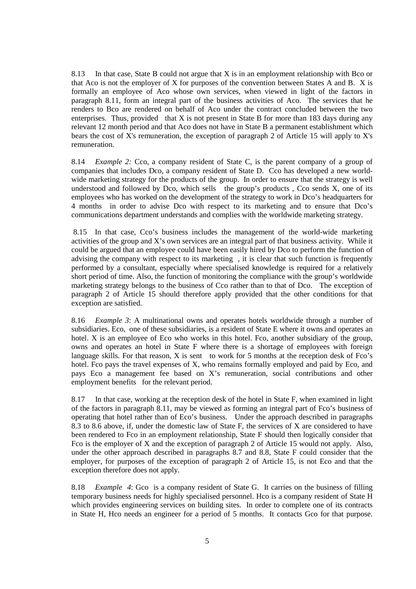8.13 In that case, State B could not argue that X is in an employment relationship with Bco or that Aco is not the employer of X for purposes of the convention between States A and B. X is formally an employee of Aco whose own services, when viewed in light of the factors in paragraph 8.11, form an integral part of the business activities of Aco. The services that he renders to Bco are rendered on behalf of Aco under the contract concluded between the two enterprises. Thus, provided that  $X$  is not present in State B for more than 183 days during any relevant 12 month period and that Aco does not have in State B a permanent establishment which bears the cost of X's remuneration, the exception of paragraph 2 of Article 15 will apply to X's remuneration.

8.14 *Example 2:* Cco, a company resident of State C, is the parent company of a group of companies that includes Dco, a company resident of State D. Cco has developed a new worldwide marketing strategy for the products of the group. In order to ensure that the strategy is well understood and followed by Dco, which sells the group's products, Cco sends  $X$ , one of its employees who has worked on the development of the strategy to work in Dco's headquarters for 4 months in order to advise Dco with respect to its marketing and to ensure that Dco's communications department understands and complies with the worldwide marketing strategy.

 8.15 In that case, Cco's business includes the management of the world-wide marketing activities of the group and X's own services are an integral part of that business activity. While it could be argued that an employee could have been easily hired by Dco to perform the function of advising the company with respect to its marketing , it is clear that such function is frequently performed by a consultant, especially where specialised knowledge is required for a relatively short period of time. Also, the function of monitoring the compliance with the group's worldwide marketing strategy belongs to the business of Cco rather than to that of Dco. The exception of paragraph 2 of Article 15 should therefore apply provided that the other conditions for that exception are satisfied.

8.16 *Example 3*: A multinational owns and operates hotels worldwide through a number of subsidiaries. Eco, one of these subsidiaries, is a resident of State E where it owns and operates an hotel. X is an employee of Eco who works in this hotel. Fco, another subsidiary of the group, owns and operates an hotel in State F where there is a shortage of employees with foreign language skills. For that reason,  $X$  is sent to work for 5 months at the reception desk of Fco's hotel. Fco pays the travel expenses of X, who remains formally employed and paid by Eco, and pays Eco a management fee based on X's remuneration, social contributions and other employment benefits for the relevant period.

8.17 In that case, working at the reception desk of the hotel in State F, when examined in light of the factors in paragraph 8.11, may be viewed as forming an integral part of Fco's business of operating that hotel rather than of Eco's business. Under the approach described in paragraphs 8.3 to 8.6 above, if, under the domestic law of State F, the services of X are considered to have been rendered to Fco in an employment relationship, State F should then logically consider that Fco is the employer of X and the exception of paragraph 2 of Article 15 would not apply. Also, under the other approach described in paragraphs 8.7 and 8.8, State F could consider that the employer, for purposes of the exception of paragraph 2 of Article 15, is not Eco and that the exception therefore does not apply.

8.18 *Example 4*: Gco is a company resident of State G. It carries on the business of filling temporary business needs for highly specialised personnel. Hco is a company resident of State H which provides engineering services on building sites. In order to complete one of its contracts in State H, Hco needs an engineer for a period of 5 months. It contacts Gco for that purpose.